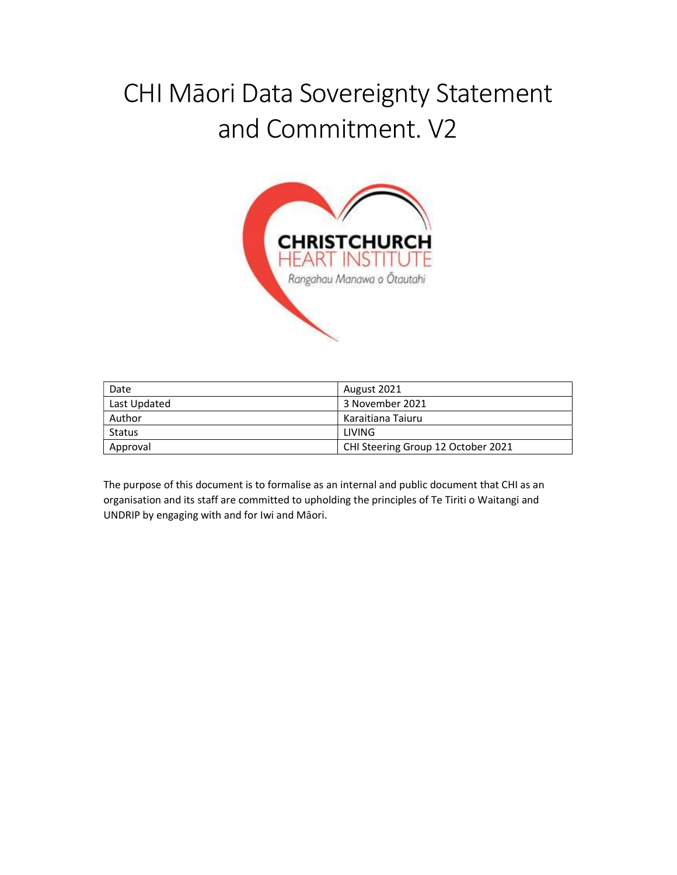# CHI Māori Data Sovereignty Statement and Commitment. V2



| Date         | August 2021                        |
|--------------|------------------------------------|
| Last Updated | 3 November 2021                    |
| Author       | Karaitiana Taiuru                  |
| Status       | LIVING.                            |
| Approval     | CHI Steering Group 12 October 2021 |

The purpose of this document is to formalise as an internal and public document that CHI as an organisation and its staff are committed to upholding the principles of Te Tiriti o Waitangi and UNDRIP by engaging with and for Iwi and Māori.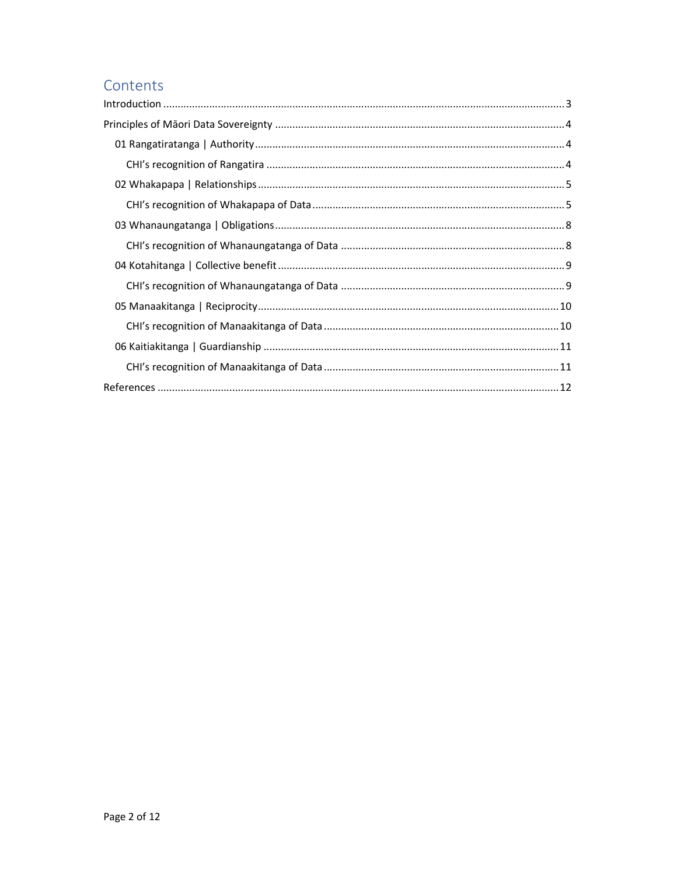# Contents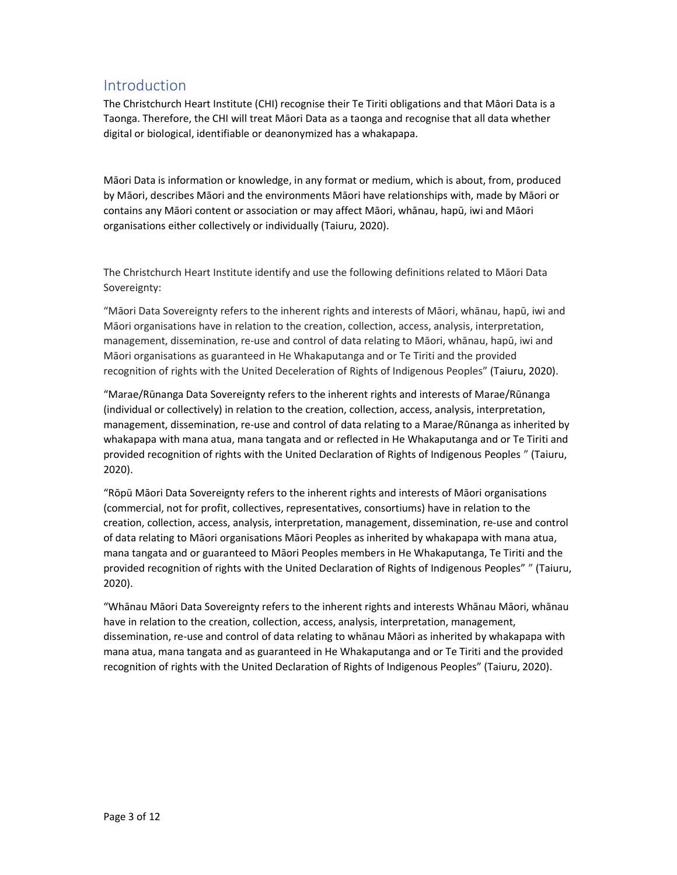# Introduction

The Christchurch Heart Institute (CHI) recognise their Te Tiriti obligations and that Māori Data is a Taonga. Therefore, the CHI will treat Māori Data as a taonga and recognise that all data whether digital or biological, identifiable or deanonymized has a whakapapa.

Māori Data is information or knowledge, in any format or medium, which is about, from, produced by Māori, describes Māori and the environments Māori have relationships with, made by Māori or contains any Māori content or association or may affect Māori, whānau, hapū, iwi and Māori organisations either collectively or individually (Taiuru, 2020).

The Christchurch Heart Institute identify and use the following definitions related to Māori Data Sovereignty:

"Māori Data Sovereignty refers to the inherent rights and interests of Māori, whānau, hapū, iwi and Māori organisations have in relation to the creation, collection, access, analysis, interpretation, management, dissemination, re-use and control of data relating to Māori, whānau, hapū, iwi and Māori organisations as guaranteed in He Whakaputanga and or Te Tiriti and the provided recognition of rights with the United Deceleration of Rights of Indigenous Peoples" (Taiuru, 2020).

"Marae/Rūnanga Data Sovereignty refers to the inherent rights and interests of Marae/Rūnanga (individual or collectively) in relation to the creation, collection, access, analysis, interpretation, management, dissemination, re-use and control of data relating to a Marae/Rūnanga as inherited by whakapapa with mana atua, mana tangata and or reflected in He Whakaputanga and or Te Tiriti and provided recognition of rights with the United Declaration of Rights of Indigenous Peoples " (Taiuru, 2020).

"Rōpū Māori Data Sovereignty refers to the inherent rights and interests of Māori organisations (commercial, not for profit, collectives, representatives, consortiums) have in relation to the creation, collection, access, analysis, interpretation, management, dissemination, re-use and control of data relating to Māori organisations Māori Peoples as inherited by whakapapa with mana atua, mana tangata and or guaranteed to Māori Peoples members in He Whakaputanga, Te Tiriti and the provided recognition of rights with the United Declaration of Rights of Indigenous Peoples" " (Taiuru, 2020).

"Whānau Māori Data Sovereignty refers to the inherent rights and interests Whānau Māori, whānau have in relation to the creation, collection, access, analysis, interpretation, management, dissemination, re-use and control of data relating to whānau Māori as inherited by whakapapa with mana atua, mana tangata and as guaranteed in He Whakaputanga and or Te Tiriti and the provided recognition of rights with the United Declaration of Rights of Indigenous Peoples" (Taiuru, 2020).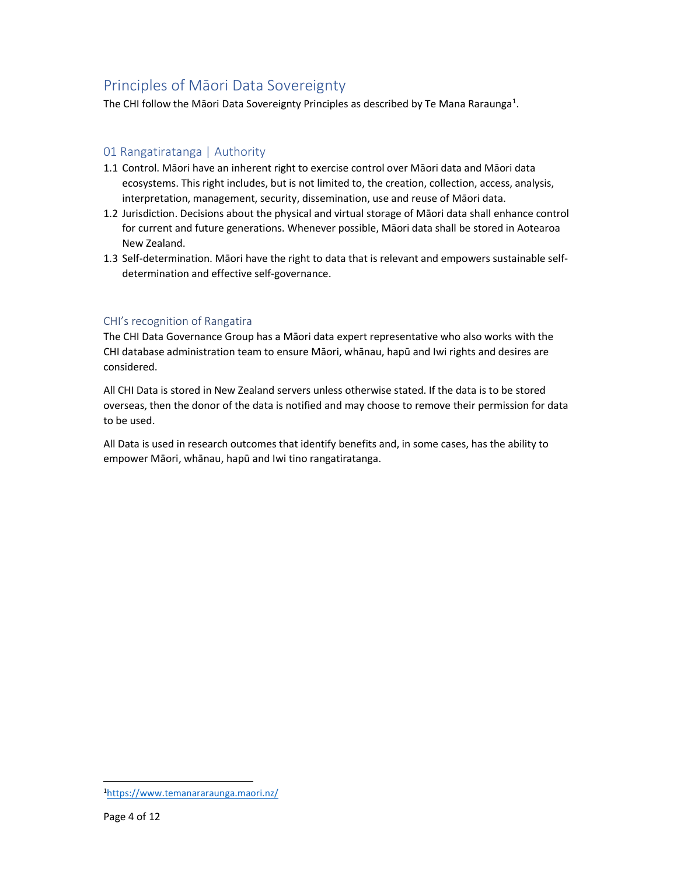# Principles of Māori Data Sovereignty

The CHI follow the Māori Data Sovereignty Principles as described by Te Mana Raraunga<sup>1</sup>.

# 01 Rangatiratanga | Authority

- 1.1 Control. Māori have an inherent right to exercise control over Māori data and Māori data ecosystems. This right includes, but is not limited to, the creation, collection, access, analysis, interpretation, management, security, dissemination, use and reuse of Māori data.
- 1.2 Jurisdiction. Decisions about the physical and virtual storage of Māori data shall enhance control for current and future generations. Whenever possible, Māori data shall be stored in Aotearoa New Zealand.
- 1.3 Self-determination. Māori have the right to data that is relevant and empowers sustainable selfdetermination and effective self-governance.

## CHI's recognition of Rangatira

The CHI Data Governance Group has a Māori data expert representative who also works with the CHI database administration team to ensure Māori, whānau, hapū and Iwi rights and desires are considered.

All CHI Data is stored in New Zealand servers unless otherwise stated. If the data is to be stored overseas, then the donor of the data is notified and may choose to remove their permission for data to be used.

All Data is used in research outcomes that identify benefits and, in some cases, has the ability to empower Māori, whānau, hapū and Iwi tino rangatiratanga.

-

<sup>1</sup>https://www.temanararaunga.maori.nz/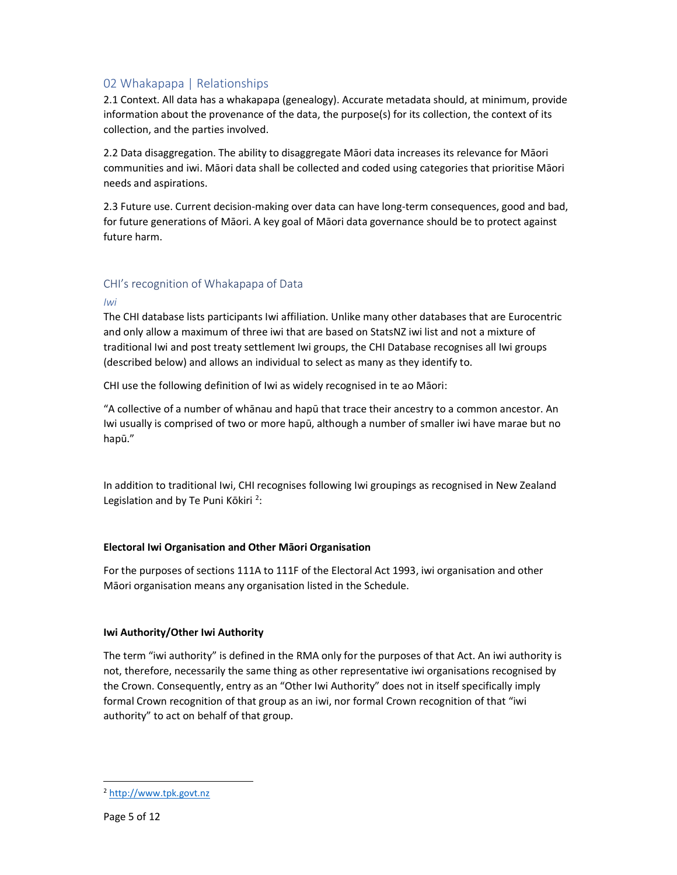# 02 Whakapapa | Relationships

2.1 Context. All data has a whakapapa (genealogy). Accurate metadata should, at minimum, provide information about the provenance of the data, the purpose(s) for its collection, the context of its collection, and the parties involved.

2.2 Data disaggregation. The ability to disaggregate Māori data increases its relevance for Māori communities and iwi. Māori data shall be collected and coded using categories that prioritise Māori needs and aspirations.

2.3 Future use. Current decision-making over data can have long-term consequences, good and bad, for future generations of Māori. A key goal of Māori data governance should be to protect against future harm.

## CHI's recognition of Whakapapa of Data

#### Iwi

The CHI database lists participants Iwi affiliation. Unlike many other databases that are Eurocentric and only allow a maximum of three iwi that are based on StatsNZ iwi list and not a mixture of traditional Iwi and post treaty settlement Iwi groups, the CHI Database recognises all Iwi groups (described below) and allows an individual to select as many as they identify to.

CHI use the following definition of Iwi as widely recognised in te ao Māori:

"A collective of a number of whānau and hapū that trace their ancestry to a common ancestor. An Iwi usually is comprised of two or more hapū, although a number of smaller iwi have marae but no hapū."

In addition to traditional Iwi, CHI recognises following Iwi groupings as recognised in New Zealand Legislation and by Te Puni Kōkiri<sup>2</sup>:

#### Electoral Iwi Organisation and Other Māori Organisation

For the purposes of sections 111A to 111F of the Electoral Act 1993, iwi organisation and other Māori organisation means any organisation listed in the Schedule.

#### Iwi Authority/Other Iwi Authority

The term "iwi authority" is defined in the RMA only for the purposes of that Act. An iwi authority is not, therefore, necessarily the same thing as other representative iwi organisations recognised by the Crown. Consequently, entry as an "Other Iwi Authority" does not in itself specifically imply formal Crown recognition of that group as an iwi, nor formal Crown recognition of that "iwi authority" to act on behalf of that group.

-

<sup>2</sup> http://www.tpk.govt.nz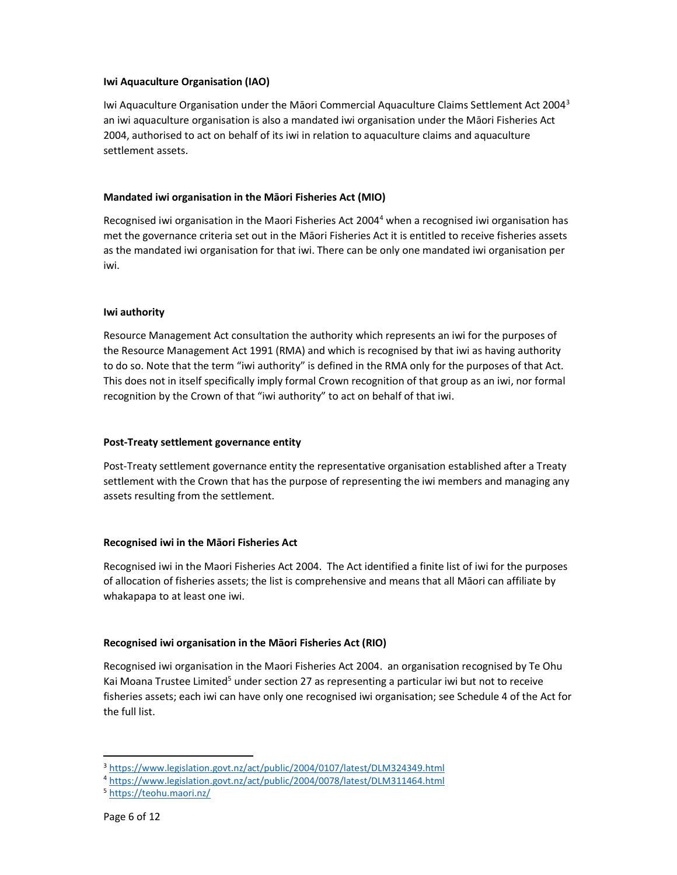#### Iwi Aquaculture Organisation (IAO)

Iwi Aquaculture Organisation under the Māori Commercial Aquaculture Claims Settlement Act 2004<sup>3</sup> an iwi aquaculture organisation is also a mandated iwi organisation under the Māori Fisheries Act 2004, authorised to act on behalf of its iwi in relation to aquaculture claims and aquaculture settlement assets.

## Mandated iwi organisation in the Māori Fisheries Act (MIO)

Recognised iwi organisation in the Maori Fisheries Act 2004<sup>4</sup> when a recognised iwi organisation has met the governance criteria set out in the Māori Fisheries Act it is entitled to receive fisheries assets as the mandated iwi organisation for that iwi. There can be only one mandated iwi organisation per iwi.

## Iwi authority

Resource Management Act consultation the authority which represents an iwi for the purposes of the Resource Management Act 1991 (RMA) and which is recognised by that iwi as having authority to do so. Note that the term "iwi authority" is defined in the RMA only for the purposes of that Act. This does not in itself specifically imply formal Crown recognition of that group as an iwi, nor formal recognition by the Crown of that "iwi authority" to act on behalf of that iwi.

#### Post-Treaty settlement governance entity

Post-Treaty settlement governance entity the representative organisation established after a Treaty settlement with the Crown that has the purpose of representing the iwi members and managing any assets resulting from the settlement.

## Recognised iwi in the Māori Fisheries Act

Recognised iwi in the Maori Fisheries Act 2004. The Act identified a finite list of iwi for the purposes of allocation of fisheries assets; the list is comprehensive and means that all Māori can affiliate by whakapapa to at least one iwi.

## Recognised iwi organisation in the Māori Fisheries Act (RIO)

Recognised iwi organisation in the Maori Fisheries Act 2004. an organisation recognised by Te Ohu Kai Moana Trustee Limited<sup>5</sup> under section 27 as representing a particular iwi but not to receive fisheries assets; each iwi can have only one recognised iwi organisation; see Schedule 4 of the Act for the full list.

-

<sup>&</sup>lt;sup>3</sup> https://www.legislation.govt.nz/act/public/2004/0107/latest/DLM324349.html

<sup>4</sup> https://www.legislation.govt.nz/act/public/2004/0078/latest/DLM311464.html

<sup>5</sup> https://teohu.maori.nz/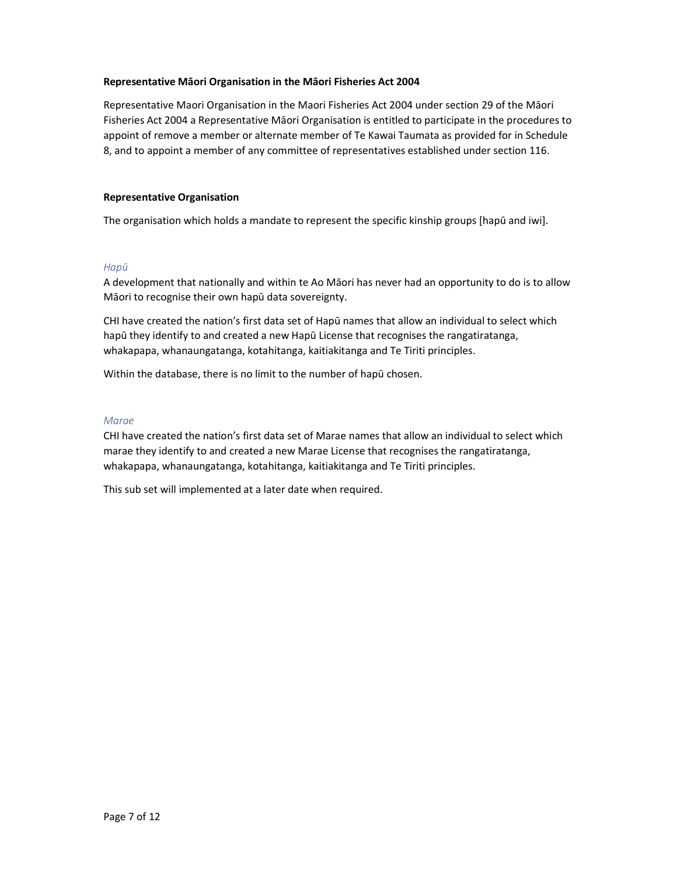#### Representative Māori Organisation in the Māori Fisheries Act 2004

Representative Maori Organisation in the Maori Fisheries Act 2004 under section 29 of the Māori Fisheries Act 2004 a Representative Māori Organisation is entitled to participate in the procedures to appoint of remove a member or alternate member of Te Kawai Taumata as provided for in Schedule 8, and to appoint a member of any committee of representatives established under section 116.

#### Representative Organisation

The organisation which holds a mandate to represent the specific kinship groups [hapū and iwi].

#### Hapū

A development that nationally and within te Ao Māori has never had an opportunity to do is to allow Māori to recognise their own hapū data sovereignty.

CHI have created the nation's first data set of Hapū names that allow an individual to select which hapū they identify to and created a new Hapū License that recognises the rangatiratanga, whakapapa, whanaungatanga, kotahitanga, kaitiakitanga and Te Tiriti principles.

Within the database, there is no limit to the number of hapū chosen.

#### Marae

CHI have created the nation's first data set of Marae names that allow an individual to select which marae they identify to and created a new Marae License that recognises the rangatiratanga, whakapapa, whanaungatanga, kotahitanga, kaitiakitanga and Te Tiriti principles.

This sub set will implemented at a later date when required.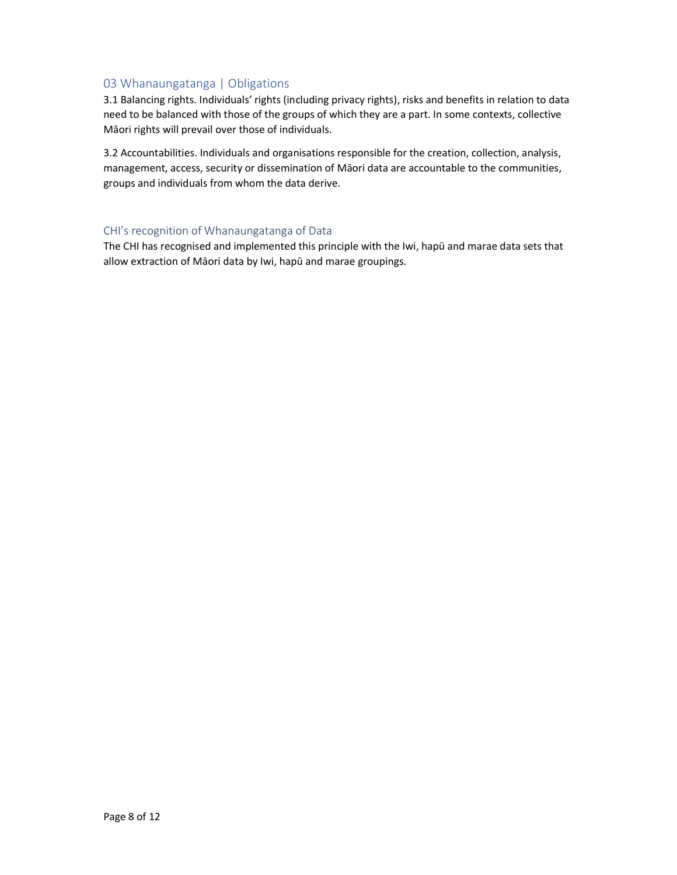# 03 Whanaungatanga | Obligations

3.1 Balancing rights. Individuals' rights (including privacy rights), risks and benefits in relation to data need to be balanced with those of the groups of which they are a part. In some contexts, collective Māori rights will prevail over those of individuals.

3.2 Accountabilities. Individuals and organisations responsible for the creation, collection, analysis, management, access, security or dissemination of Māori data are accountable to the communities, groups and individuals from whom the data derive.

## CHI's recognition of Whanaungatanga of Data

The CHI has recognised and implemented this principle with the Iwi, hapū and marae data sets that allow extraction of Māori data by Iwi, hapū and marae groupings.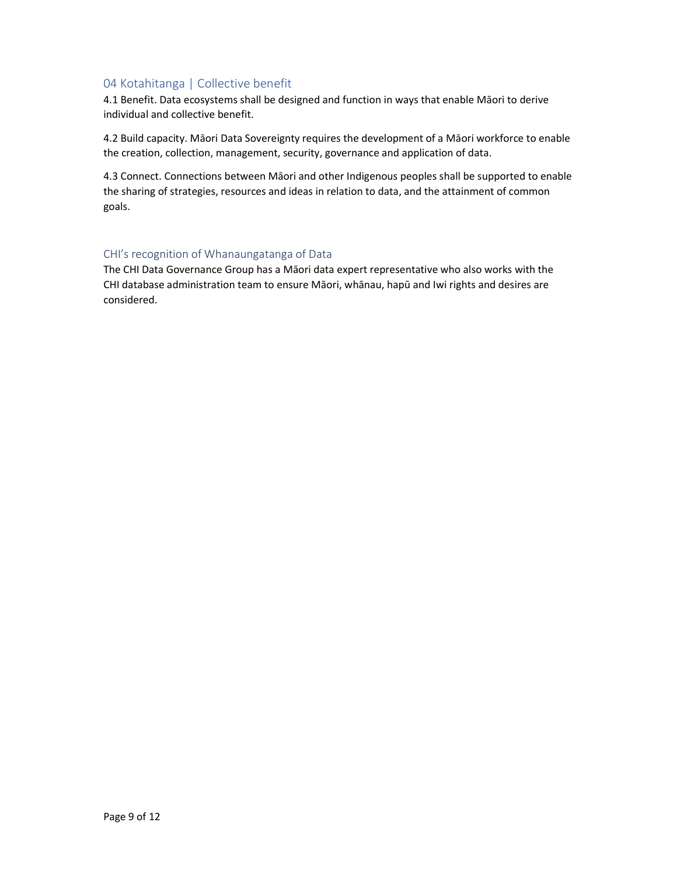# 04 Kotahitanga | Collective benefit

4.1 Benefit. Data ecosystems shall be designed and function in ways that enable Māori to derive individual and collective benefit.

4.2 Build capacity. Māori Data Sovereignty requires the development of a Māori workforce to enable the creation, collection, management, security, governance and application of data.

4.3 Connect. Connections between Māori and other Indigenous peoples shall be supported to enable the sharing of strategies, resources and ideas in relation to data, and the attainment of common goals.

#### CHI's recognition of Whanaungatanga of Data

The CHI Data Governance Group has a Māori data expert representative who also works with the CHI database administration team to ensure Māori, whānau, hapū and Iwi rights and desires are considered.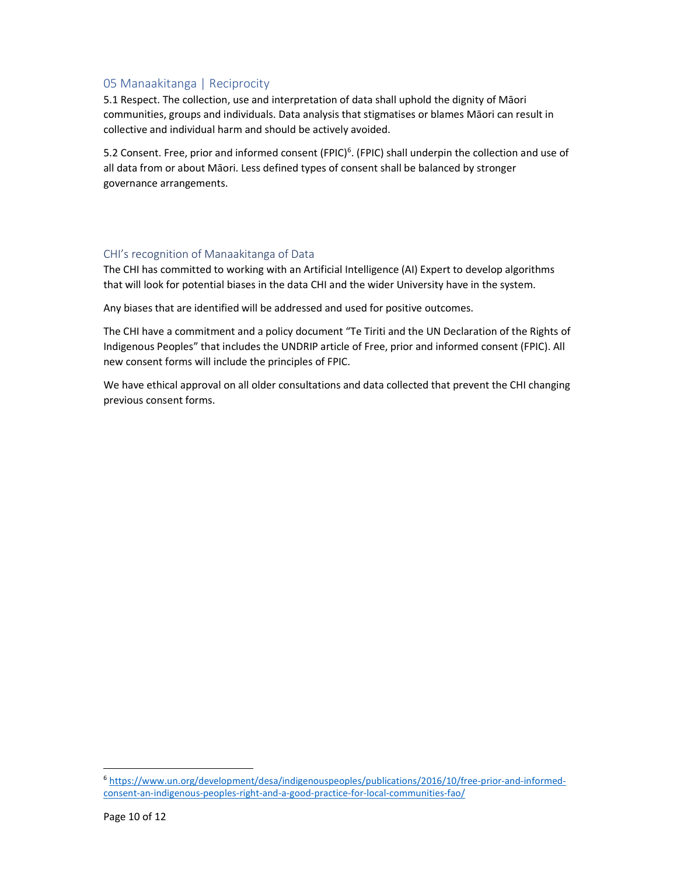# 05 Manaakitanga | Reciprocity

5.1 Respect. The collection, use and interpretation of data shall uphold the dignity of Māori communities, groups and individuals. Data analysis that stigmatises or blames Māori can result in collective and individual harm and should be actively avoided.

5.2 Consent. Free, prior and informed consent (FPIC)<sup>6</sup>. (FPIC) shall underpin the collection and use of all data from or about Māori. Less defined types of consent shall be balanced by stronger governance arrangements.

## CHI's recognition of Manaakitanga of Data

The CHI has committed to working with an Artificial Intelligence (AI) Expert to develop algorithms that will look for potential biases in the data CHI and the wider University have in the system.

Any biases that are identified will be addressed and used for positive outcomes.

The CHI have a commitment and a policy document "Te Tiriti and the UN Declaration of the Rights of Indigenous Peoples" that includes the UNDRIP article of Free, prior and informed consent (FPIC). All new consent forms will include the principles of FPIC.

We have ethical approval on all older consultations and data collected that prevent the CHI changing previous consent forms.

1

<sup>6</sup> https://www.un.org/development/desa/indigenouspeoples/publications/2016/10/free-prior-and-informedconsent-an-indigenous-peoples-right-and-a-good-practice-for-local-communities-fao/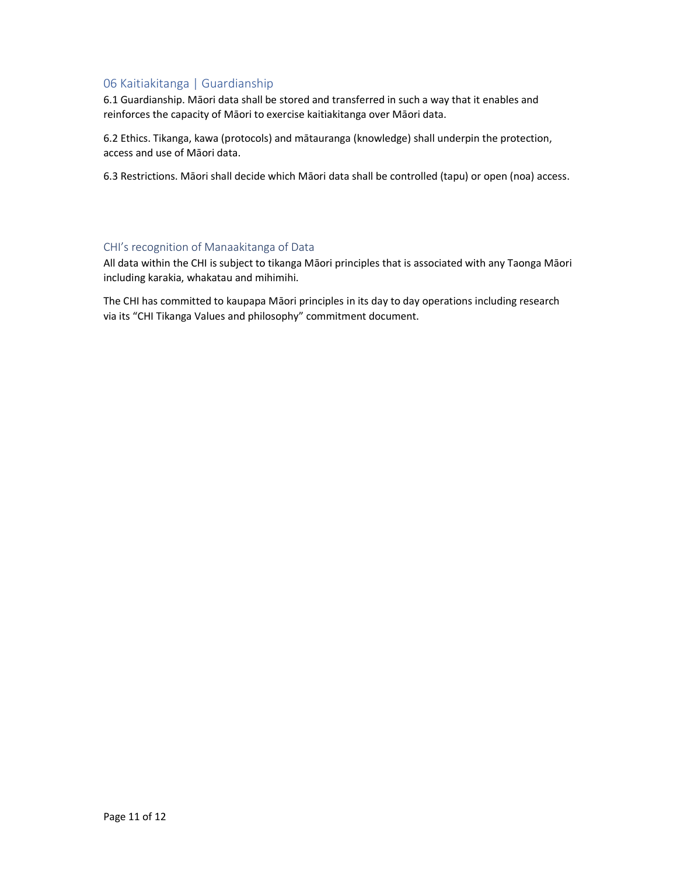# 06 Kaitiakitanga | Guardianship

6.1 Guardianship. Māori data shall be stored and transferred in such a way that it enables and reinforces the capacity of Māori to exercise kaitiakitanga over Māori data.

6.2 Ethics. Tikanga, kawa (protocols) and mātauranga (knowledge) shall underpin the protection, access and use of Māori data.

6.3 Restrictions. Māori shall decide which Māori data shall be controlled (tapu) or open (noa) access.

#### CHI's recognition of Manaakitanga of Data

All data within the CHI is subject to tikanga Māori principles that is associated with any Taonga Māori including karakia, whakatau and mihimihi.

The CHI has committed to kaupapa Māori principles in its day to day operations including research via its "CHI Tikanga Values and philosophy" commitment document.